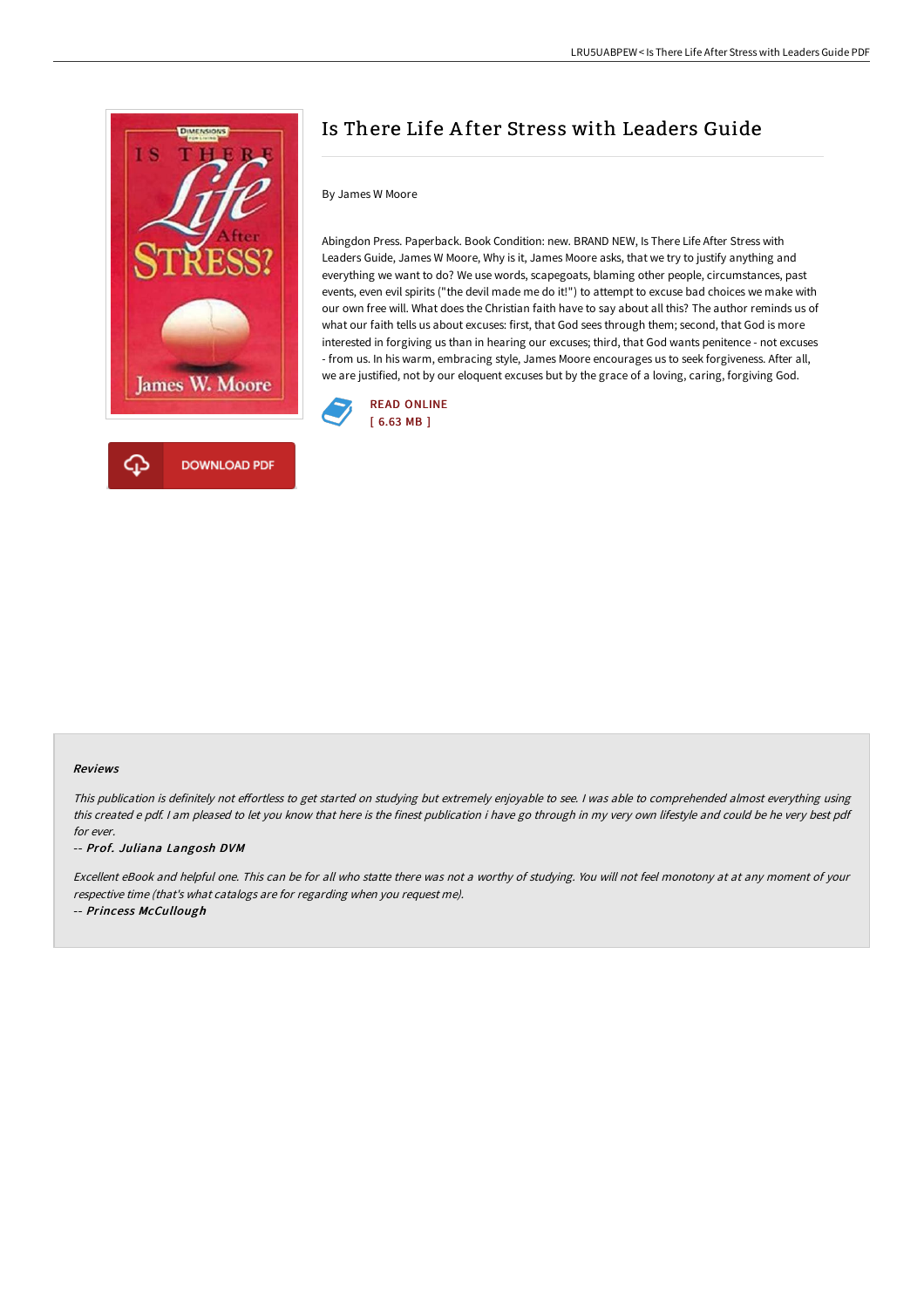

# Is There Life A fter Stress with Leaders Guide

## By James W Moore

Abingdon Press. Paperback. Book Condition: new. BRAND NEW, Is There Life After Stress with Leaders Guide, James W Moore, Why is it, James Moore asks, that we try to justify anything and everything we want to do? We use words, scapegoats, blaming other people, circumstances, past events, even evil spirits ("the devil made me do it!") to attempt to excuse bad choices we make with our own free will. What does the Christian faith have to say about all this? The author reminds us of what our faith tells us about excuses: first, that God sees through them; second, that God is more interested in forgiving us than in hearing our excuses; third, that God wants penitence - not excuses - from us. In his warm, embracing style, James Moore encourages us to seek forgiveness. After all, we are justified, not by our eloquent excuses but by the grace of a loving, caring, forgiving God.



#### Reviews

This publication is definitely not effortless to get started on studying but extremely enjoyable to see. I was able to comprehended almost everything using this created <sup>e</sup> pdf. <sup>I</sup> am pleased to let you know that here is the finest publication i have go through in my very own lifestyle and could be he very best pdf for ever.

-- Prof. Juliana Langosh DVM

Excellent eBook and helpful one. This can be for all who statte there was not <sup>a</sup> worthy of studying. You will not feel monotony at at any moment of your respective time (that's what catalogs are for regarding when you request me).

-- Princess McCullough